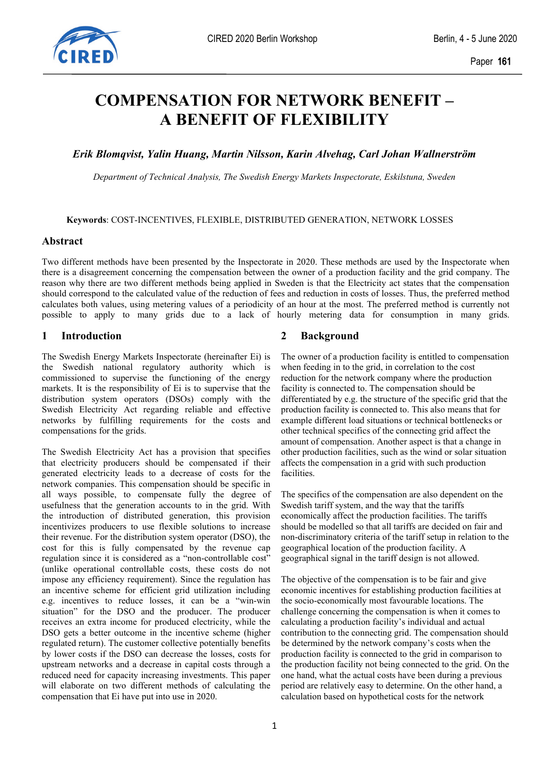

# **COMPENSATION FOR NETWORK BENEFIT – A BENEFIT OF FLEXIBILITY**

*Erik Blomqvist, Yalin Huang, Martin Nilsson, Karin Alvehag, Carl Johan Wallnerström* 

*Department of Technical Analysis, The Swedish Energy Markets Inspectorate, Eskilstuna, Sweden*

**Keywords**: COST-INCENTIVES, FLEXIBLE, DISTRIBUTED GENERATION, NETWORK LOSSES

## **Abstract**

Two different methods have been presented by the Inspectorate in 2020. These methods are used by the Inspectorate when there is a disagreement concerning the compensation between the owner of a production facility and the grid company. The reason why there are two different methods being applied in Sweden is that the Electricity act states that the compensation should correspond to the calculated value of the reduction of fees and reduction in costs of losses. Thus, the preferred method calculates both values, using metering values of a periodicity of an hour at the most. The preferred method is currently not possible to apply to many grids due to a lack of hourly metering data for consumption in many grids.

# **1 Introduction**

The Swedish Energy Markets Inspectorate (hereinafter Ei) is the Swedish national regulatory authority which is commissioned to supervise the functioning of the energy markets. It is the responsibility of Ei is to supervise that the distribution system operators (DSOs) comply with the Swedish Electricity Act regarding reliable and effective networks by fulfilling requirements for the costs and compensations for the grids.

The Swedish Electricity Act has a provision that specifies that electricity producers should be compensated if their generated electricity leads to a decrease of costs for the network companies. This compensation should be specific in all ways possible, to compensate fully the degree of usefulness that the generation accounts to in the grid. With the introduction of distributed generation, this provision incentivizes producers to use flexible solutions to increase their revenue. For the distribution system operator (DSO), the cost for this is fully compensated by the revenue cap regulation since it is considered as a "non-controllable cost" (unlike operational controllable costs, these costs do not impose any efficiency requirement). Since the regulation has an incentive scheme for efficient grid utilization including e.g. incentives to reduce losses, it can be a "win-win situation" for the DSO and the producer. The producer receives an extra income for produced electricity, while the DSO gets a better outcome in the incentive scheme (higher regulated return). The customer collective potentially benefits by lower costs if the DSO can decrease the losses, costs for upstream networks and a decrease in capital costs through a reduced need for capacity increasing investments. This paper will elaborate on two different methods of calculating the compensation that Ei have put into use in 2020.

## **2 Background**

The owner of a production facility is entitled to compensation when feeding in to the grid, in correlation to the cost reduction for the network company where the production facility is connected to. The compensation should be differentiated by e.g. the structure of the specific grid that the production facility is connected to. This also means that for example different load situations or technical bottlenecks or other technical specifics of the connecting grid affect the amount of compensation. Another aspect is that a change in other production facilities, such as the wind or solar situation affects the compensation in a grid with such production facilities.

The specifics of the compensation are also dependent on the Swedish tariff system, and the way that the tariffs economically affect the production facilities. The tariffs should be modelled so that all tariffs are decided on fair and non-discriminatory criteria of the tariff setup in relation to the geographical location of the production facility. A geographical signal in the tariff design is not allowed.

The objective of the compensation is to be fair and give economic incentives for establishing production facilities at the socio-economically most favourable locations. The challenge concerning the compensation is when it comes to calculating a production facility's individual and actual contribution to the connecting grid. The compensation should be determined by the network company's costs when the production facility is connected to the grid in comparison to the production facility not being connected to the grid. On the one hand, what the actual costs have been during a previous period are relatively easy to determine. On the other hand, a calculation based on hypothetical costs for the network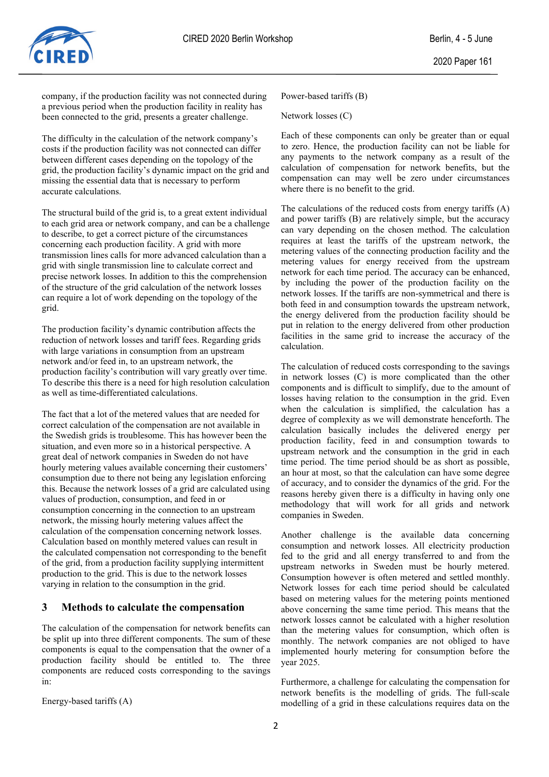

company, if the production facility was not connected during a previous period when the production facility in reality has been connected to the grid, presents a greater challenge.

The difficulty in the calculation of the network company's costs if the production facility was not connected can differ between different cases depending on the topology of the grid, the production facility's dynamic impact on the grid and missing the essential data that is necessary to perform accurate calculations.

The structural build of the grid is, to a great extent individual to each grid area or network company, and can be a challenge to describe, to get a correct picture of the circumstances concerning each production facility. A grid with more transmission lines calls for more advanced calculation than a grid with single transmission line to calculate correct and precise network losses. In addition to this the comprehension of the structure of the grid calculation of the network losses can require a lot of work depending on the topology of the grid.

The production facility's dynamic contribution affects the reduction of network losses and tariff fees. Regarding grids with large variations in consumption from an upstream network and/or feed in, to an upstream network, the production facility's contribution will vary greatly over time. To describe this there is a need for high resolution calculation as well as time-differentiated calculations.

The fact that a lot of the metered values that are needed for correct calculation of the compensation are not available in the Swedish grids is troublesome. This has however been the situation, and even more so in a historical perspective. A great deal of network companies in Sweden do not have hourly metering values available concerning their customers' consumption due to there not being any legislation enforcing this. Because the network losses of a grid are calculated using values of production, consumption, and feed in or consumption concerning in the connection to an upstream network, the missing hourly metering values affect the calculation of the compensation concerning network losses. Calculation based on monthly metered values can result in the calculated compensation not corresponding to the benefit of the grid, from a production facility supplying intermittent production to the grid. This is due to the network losses varying in relation to the consumption in the grid.

## **3 Methods to calculate the compensation**

The calculation of the compensation for network benefits can be split up into three different components. The sum of these components is equal to the compensation that the owner of a production facility should be entitled to. The three components are reduced costs corresponding to the savings in:

Energy-based tariffs (A)

#### Power-based tariffs (B)

Network losses (C)

Each of these components can only be greater than or equal to zero. Hence, the production facility can not be liable for any payments to the network company as a result of the calculation of compensation for network benefits, but the compensation can may well be zero under circumstances where there is no benefit to the grid.

The calculations of the reduced costs from energy tariffs (A) and power tariffs (B) are relatively simple, but the accuracy can vary depending on the chosen method. The calculation requires at least the tariffs of the upstream network, the metering values of the connecting production facility and the metering values for energy received from the upstream network for each time period. The accuracy can be enhanced, by including the power of the production facility on the network losses. If the tariffs are non-symmetrical and there is both feed in and consumption towards the upstream network, the energy delivered from the production facility should be put in relation to the energy delivered from other production facilities in the same grid to increase the accuracy of the calculation.

The calculation of reduced costs corresponding to the savings in network losses (C) is more complicated than the other components and is difficult to simplify, due to the amount of losses having relation to the consumption in the grid. Even when the calculation is simplified, the calculation has a degree of complexity as we will demonstrate henceforth. The calculation basically includes the delivered energy per production facility, feed in and consumption towards to upstream network and the consumption in the grid in each time period. The time period should be as short as possible, an hour at most, so that the calculation can have some degree of accuracy, and to consider the dynamics of the grid. For the reasons hereby given there is a difficulty in having only one methodology that will work for all grids and network companies in Sweden.

Another challenge is the available data concerning consumption and network losses. All electricity production fed to the grid and all energy transferred to and from the upstream networks in Sweden must be hourly metered. Consumption however is often metered and settled monthly. Network losses for each time period should be calculated based on metering values for the metering points mentioned above concerning the same time period. This means that the network losses cannot be calculated with a higher resolution than the metering values for consumption, which often is monthly. The network companies are not obliged to have implemented hourly metering for consumption before the year 2025.

Furthermore, a challenge for calculating the compensation for network benefits is the modelling of grids. The full-scale modelling of a grid in these calculations requires data on the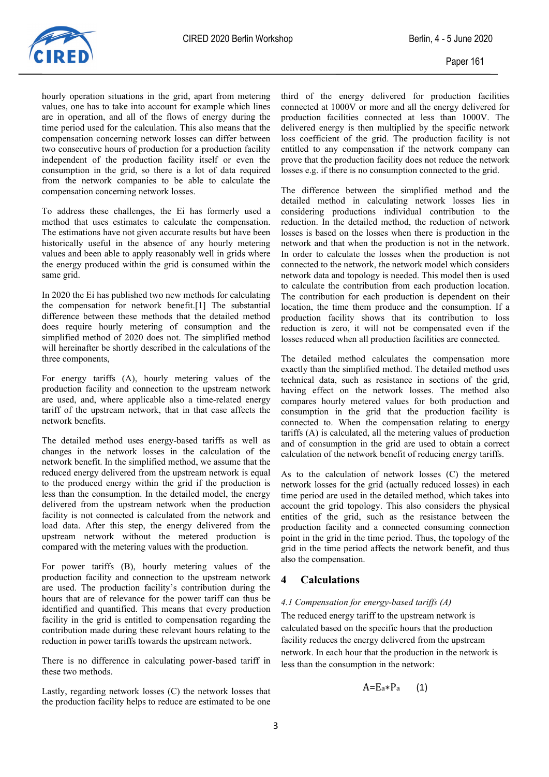

hourly operation situations in the grid, apart from metering values, one has to take into account for example which lines are in operation, and all of the flows of energy during the time period used for the calculation. This also means that the compensation concerning network losses can differ between two consecutive hours of production for a production facility independent of the production facility itself or even the consumption in the grid, so there is a lot of data required from the network companies to be able to calculate the compensation concerning network losses.

To address these challenges, the Ei has formerly used a method that uses estimates to calculate the compensation. The estimations have not given accurate results but have been historically useful in the absence of any hourly metering values and been able to apply reasonably well in grids where the energy produced within the grid is consumed within the same grid.

In 2020 the Ei has published two new methods for calculating the compensation for network benefit.[1] The substantial difference between these methods that the detailed method does require hourly metering of consumption and the simplified method of 2020 does not. The simplified method will hereinafter be shortly described in the calculations of the three components,

For energy tariffs (A), hourly metering values of the production facility and connection to the upstream network are used, and, where applicable also a time-related energy tariff of the upstream network, that in that case affects the network benefits.

The detailed method uses energy-based tariffs as well as changes in the network losses in the calculation of the network benefit. In the simplified method, we assume that the reduced energy delivered from the upstream network is equal to the produced energy within the grid if the production is less than the consumption. In the detailed model, the energy delivered from the upstream network when the production facility is not connected is calculated from the network and load data. After this step, the energy delivered from the upstream network without the metered production is compared with the metering values with the production.

For power tariffs (B), hourly metering values of the production facility and connection to the upstream network are used. The production facility's contribution during the hours that are of relevance for the power tariff can thus be identified and quantified. This means that every production facility in the grid is entitled to compensation regarding the contribution made during these relevant hours relating to the reduction in power tariffs towards the upstream network.

There is no difference in calculating power-based tariff in these two methods.

Lastly, regarding network losses (C) the network losses that the production facility helps to reduce are estimated to be one third of the energy delivered for production facilities connected at 1000V or more and all the energy delivered for production facilities connected at less than 1000V. The delivered energy is then multiplied by the specific network loss coefficient of the grid. The production facility is not entitled to any compensation if the network company can prove that the production facility does not reduce the network losses e.g. if there is no consumption connected to the grid.

The difference between the simplified method and the detailed method in calculating network losses lies in considering productions individual contribution to the reduction. In the detailed method, the reduction of network losses is based on the losses when there is production in the network and that when the production is not in the network. In order to calculate the losses when the production is not connected to the network, the network model which considers network data and topology is needed. This model then is used to calculate the contribution from each production location. The contribution for each production is dependent on their location, the time them produce and the consumption. If a production facility shows that its contribution to loss reduction is zero, it will not be compensated even if the losses reduced when all production facilities are connected.

The detailed method calculates the compensation more exactly than the simplified method. The detailed method uses technical data, such as resistance in sections of the grid, having effect on the network losses. The method also compares hourly metered values for both production and consumption in the grid that the production facility is connected to. When the compensation relating to energy tariffs (A) is calculated, all the metering values of production and of consumption in the grid are used to obtain a correct calculation of the network benefit of reducing energy tariffs.

As to the calculation of network losses (C) the metered network losses for the grid (actually reduced losses) in each time period are used in the detailed method, which takes into account the grid topology. This also considers the physical entities of the grid, such as the resistance between the production facility and a connected consuming connection point in the grid in the time period. Thus, the topology of the grid in the time period affects the network benefit, and thus also the compensation.

## **4 Calculations**

## *4.1 Compensation for energy-based tariffs (A)*

The reduced energy tariff to the upstream network is calculated based on the specific hours that the production facility reduces the energy delivered from the upstream network. In each hour that the production in the network is less than the consumption in the network:

$$
A{=}E_a{*}P_a \qquad \textbf{(1)}
$$